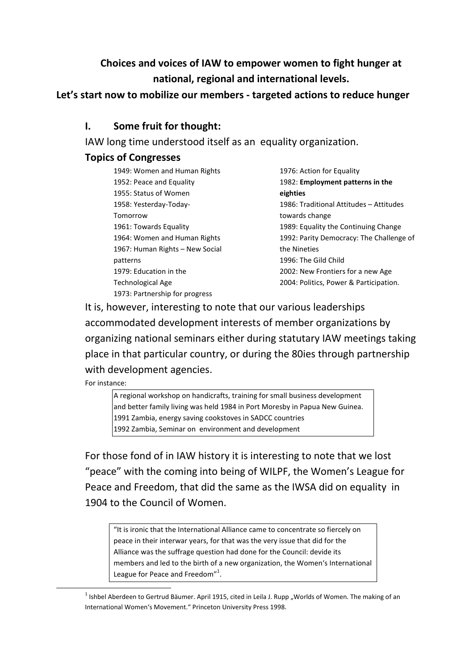# **Choices and voices of IAW to empower women to fight hunger at national, regional and international levels.**

#### **Let's start now to mobilize our members - targeted actions to reduce hunger**

#### **I. Some fruit for thought:**

IAW long time understood itself as an equality organization.

## **Topics of Congresses**

| 1949: Women and Human Rights    |
|---------------------------------|
| 1952: Peace and Equality        |
| 1955: Status of Women           |
| 1958: Yesterday-Today-          |
| Tomorrow                        |
| 1961: Towards Equality          |
| 1964: Women and Human Rights    |
| 1967: Human Rights – New Social |
| patterns                        |
| 1979: Education in the          |
| <b>Technological Age</b>        |
| 1973: Partnership for progress  |

1976: Action for Equality 1982: **Employment patterns in the eighties** 1986: Traditional Attitudes – Attitudes towards change 1989: Equality the Continuing Change 1992: Parity Democracy: The Challenge of the Nineties 1996: The Gild Child 2002: New Frontiers for a new Age 2004: Politics, Power & Participation.

It is, however, interesting to note that our various leaderships accommodated development interests of member organizations by organizing national seminars either during statutary IAW meetings taking place in that particular country, or during the 80ies through partnership with development agencies.

For instance:

1

A regional workshop on handicrafts, training for small business development and better family living was held 1984 in Port Moresby in Papua New Guinea. 1991 Zambia, energy saving cookstoves in SADCC countries 1992 Zambia, Seminar on environment and development

For those fond of in IAW history it is interesting to note that we lost "peace" with the coming into being of WILPF, the Women's League for Peace and Freedom, that did the same as the IWSA did on equality in 1904 to the Council of Women.

"It is ironic that the International Alliance came to concentrate so fiercely on peace in their interwar years, for that was the very issue that did for the Alliance was the suffrage question had done for the Council: devide its members and led to the birth of a new organization, the Women's International League for Peace and Freedom"<sup>1</sup>.

<sup>&</sup>lt;sup>1</sup> Ishbel Aberdeen to Gertrud Bäumer. April 1915, cited in Leila J. Rupp "Worlds of Women. The making of an International Women's Movement." Princeton University Press 1998.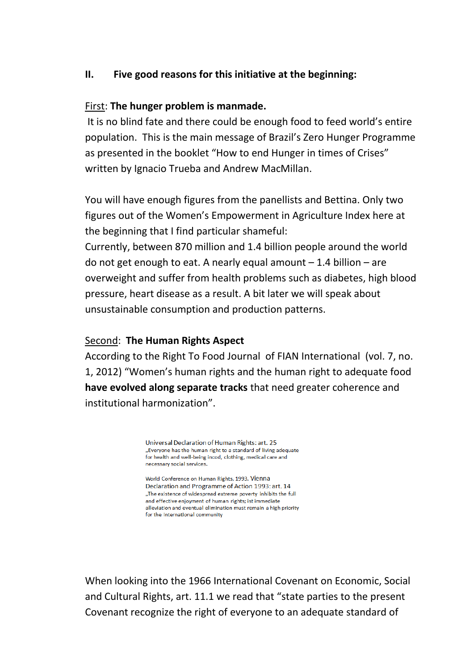#### **II. Five good reasons for this initiative at the beginning:**

#### First: **The hunger problem is manmade.**

It is no blind fate and there could be enough food to feed world's entire population. This is the main message of Brazil's Zero Hunger Programme as presented in the booklet "How to end Hunger in times of Crises" written by Ignacio Trueba and Andrew MacMillan.

You will have enough figures from the panellists and Bettina. Only two figures out of the Women's Empowerment in Agriculture Index here at the beginning that I find particular shameful:

Currently, between 870 million and 1.4 billion people around the world do not get enough to eat. A nearly equal amount  $-1.4$  billion  $-$  are overweight and suffer from health problems such as diabetes, high blood pressure, heart disease as a result. A bit later we will speak about unsustainable consumption and production patterns.

#### Second: **The Human Rights Aspect**

According to the Right To Food Journal of FIAN International (vol. 7, no. 1, 2012) "Women's human rights and the human right to adequate food **have evolved along separate tracks** that need greater coherence and institutional harmonization".

> Universal Declaration of Human Rights: art. 25 "Everyone has the human right to a standard of living adequate for health and well-being incod, clothing, medical care and necessary social services.

> World Conference on Human Rights, 1993. Vienna Declaration and Programme of Action 1993: art. 14 "The existence of widespread extreme poverty inhibits the full and effective enjoyment of human rights; ist immediate alleviation and eventual elimination must remain a high priority for the international community

When looking into the 1966 International Covenant on Economic, Social and Cultural Rights, art. 11.1 we read that "state parties to the present Covenant recognize the right of everyone to an adequate standard of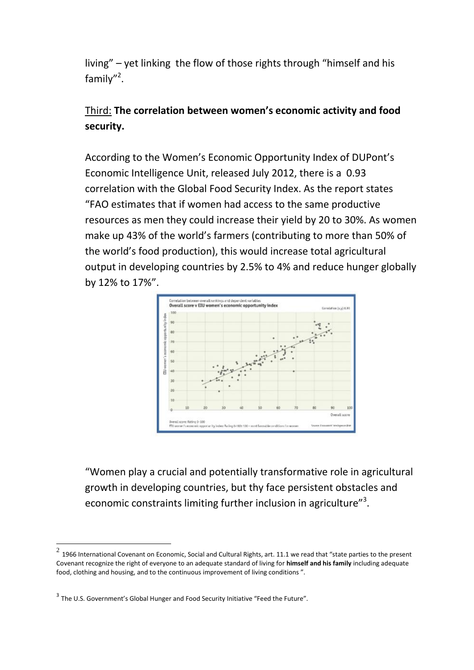living" – yet linking the flow of those rights through "himself and his family"<sup>2</sup>.

# Third: **The correlation between women's economic activity and food security.**

According to the Women's Economic Opportunity Index of DUPont's Economic Intelligence Unit, released July 2012, there is a 0.93 correlation with the Global Food Security Index. As the report states "FAO estimates that if women had access to the same productive resources as men they could increase their yield by 20 to 30%. As women make up 43% of the world's farmers (contributing to more than 50% of the world's food production), this would increase total agricultural output in developing countries by 2.5% to 4% and reduce hunger globally by 12% to 17%".



"Women play a crucial and potentially transformative role in agricultural growth in developing countries, but thy face persistent obstacles and economic constraints limiting further inclusion in agriculture"<sup>3</sup>.

**.** 

 $^2$  1966 International Covenant on Economic, Social and Cultural Rights, art. 11.1 we read that "state parties to the present Covenant recognize the right of everyone to an adequate standard of living for **himself and his family** including adequate food, clothing and housing, and to the continuous improvement of living conditions ".

<sup>&</sup>lt;sup>3</sup> The U.S. Government's Global Hunger and Food Security Initiative "Feed the Future".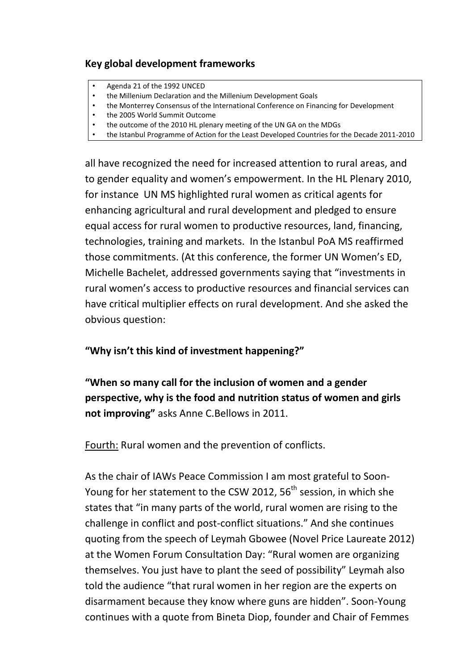## **Key global development frameworks**

- Agenda 21 of the 1992 UNCED
- the Millenium Declaration and the Millenium Development Goals
- the Monterrey Consensus of the International Conference on Financing for Development
- the 2005 World Summit Outcome
- the outcome of the 2010 HL plenary meeting of the UN GA on the MDGs
- the Istanbul Programme of Action for the Least Developed Countries for the Decade 2011-2010

all have recognized the need for increased attention to rural areas, and to gender equality and women's empowerment. In the HL Plenary 2010, for instance UN MS highlighted rural women as critical agents for enhancing agricultural and rural development and pledged to ensure equal access for rural women to productive resources, land, financing, technologies, training and markets. In the Istanbul PoA MS reaffirmed those commitments. (At this conference, the former UN Women's ED, Michelle Bachelet, addressed governments saying that "investments in rural women's access to productive resources and financial services can have critical multiplier effects on rural development. And she asked the obvious question:

**"Why isn't this kind of investment happening?"**

**"When so many call for the inclusion of women and a gender perspective, why is the food and nutrition status of women and girls not improving"** asks Anne C.Bellows in 2011.

Fourth: Rural women and the prevention of conflicts.

As the chair of IAWs Peace Commission I am most grateful to Soon-Young for her statement to the CSW 2012, 56<sup>th</sup> session, in which she states that "in many parts of the world, rural women are rising to the challenge in conflict and post-conflict situations." And she continues quoting from the speech of Leymah Gbowee (Novel Price Laureate 2012) at the Women Forum Consultation Day: "Rural women are organizing themselves. You just have to plant the seed of possibility" Leymah also told the audience "that rural women in her region are the experts on disarmament because they know where guns are hidden". Soon-Young continues with a quote from Bineta Diop, founder and Chair of Femmes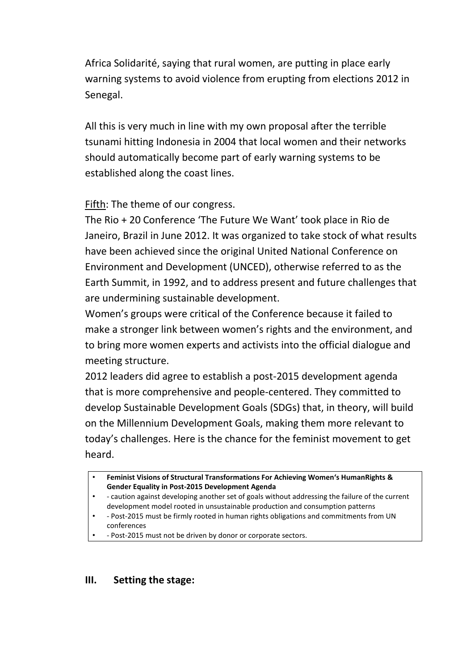Africa Solidarité, saying that rural women, are putting in place early warning systems to avoid violence from erupting from elections 2012 in Senegal.

All this is very much in line with my own proposal after the terrible tsunami hitting Indonesia in 2004 that local women and their networks should automatically become part of early warning systems to be established along the coast lines.

Fifth: The theme of our congress.

The Rio + 20 Conference 'The Future We Want' took place in Rio de Janeiro, Brazil in June 2012. It was organized to take stock of what results have been achieved since the original United National Conference on Environment and Development (UNCED), otherwise referred to as the Earth Summit, in 1992, and to address present and future challenges that are undermining sustainable development.

Women's groups were critical of the Conference because it failed to make a stronger link between women's rights and the environment, and to bring more women experts and activists into the official dialogue and meeting structure.

2012 leaders did agree to establish a post-2015 development agenda that is more comprehensive and people-centered. They committed to develop Sustainable Development Goals (SDGs) that, in theory, will build on the Millennium Development Goals, making them more relevant to today's challenges. Here is the chance for the feminist movement to get heard.

- - Post-2015 must be firmly rooted in human rights obligations and commitments from UN conferences
- - Post-2015 must not be driven by donor or corporate sectors.

## **III. Setting the stage:**

<sup>•</sup> **Feminist Visions of Structural Transformations For Achieving Women's HumanRights & Gender Equality in Post-2015 Development Agenda**

<sup>•</sup> - caution against developing another set of goals without addressing the failure of the current development model rooted in unsustainable production and consumption patterns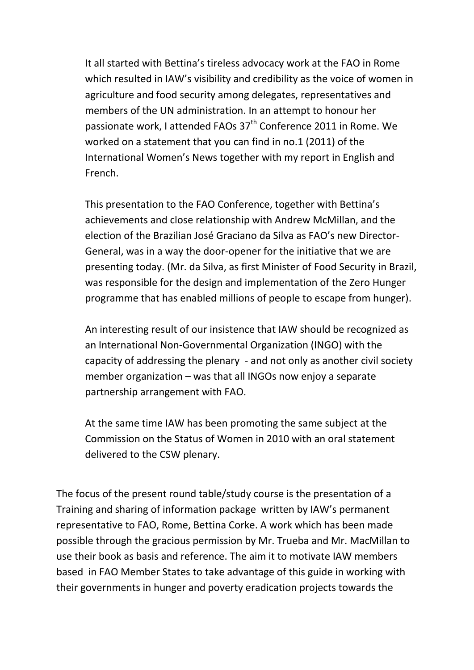It all started with Bettina's tireless advocacy work at the FAO in Rome which resulted in IAW's visibility and credibility as the voice of women in agriculture and food security among delegates, representatives and members of the UN administration. In an attempt to honour her passionate work, I attended FAOs 37<sup>th</sup> Conference 2011 in Rome. We worked on a statement that you can find in no.1 (2011) of the International Women's News together with my report in English and French.

This presentation to the FAO Conference, together with Bettina's achievements and close relationship with Andrew McMillan, and the election of the Brazilian José Graciano da Silva as FAO's new Director-General, was in a way the door-opener for the initiative that we are presenting today. (Mr. da Silva, as first Minister of Food Security in Brazil, was responsible for the design and implementation of the Zero Hunger programme that has enabled millions of people to escape from hunger).

An interesting result of our insistence that IAW should be recognized as an International Non-Governmental Organization (INGO) with the capacity of addressing the plenary - and not only as another civil society member organization – was that all INGOs now enjoy a separate partnership arrangement with FAO.

At the same time IAW has been promoting the same subject at the Commission on the Status of Women in 2010 with an oral statement delivered to the CSW plenary.

The focus of the present round table/study course is the presentation of a Training and sharing of information package written by IAW's permanent representative to FAO, Rome, Bettina Corke. A work which has been made possible through the gracious permission by Mr. Trueba and Mr. MacMillan to use their book as basis and reference. The aim it to motivate IAW members based in FAO Member States to take advantage of this guide in working with their governments in hunger and poverty eradication projects towards the